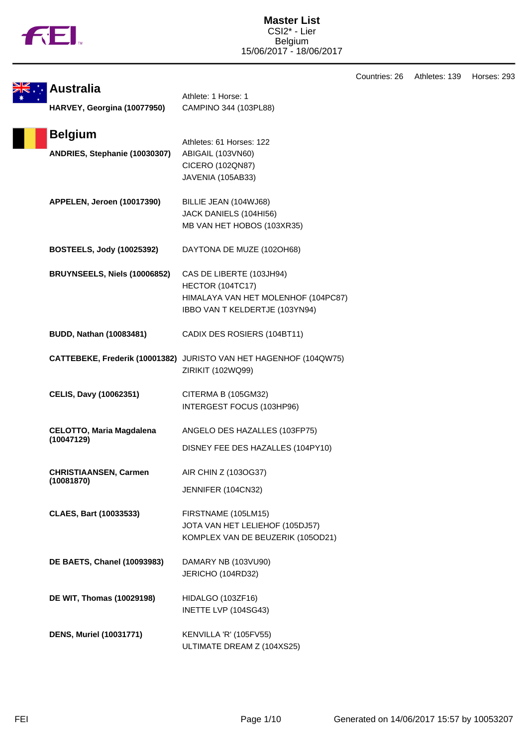|  | υ |
|--|---|
|  |   |

|                                                 |                                                                                                                       | Countries: 26 | Athletes: 139 | Horses: 293 |
|-------------------------------------------------|-----------------------------------------------------------------------------------------------------------------------|---------------|---------------|-------------|
| <b>Australia</b><br>HARVEY, Georgina (10077950) | Athlete: 1 Horse: 1<br>CAMPINO 344 (103PL88)                                                                          |               |               |             |
| <b>Belgium</b><br>ANDRIES, Stephanie (10030307) | Athletes: 61 Horses: 122<br>ABIGAIL (103VN60)<br>CICERO (102QN87)<br>JAVENIA (105AB33)                                |               |               |             |
| APPELEN, Jeroen (10017390)                      | BILLIE JEAN (104WJ68)<br>JACK DANIELS (104HI56)<br>MB VAN HET HOBOS (103XR35)                                         |               |               |             |
| <b>BOSTEELS, Jody (10025392)</b>                | DAYTONA DE MUZE (102OH68)                                                                                             |               |               |             |
| BRUYNSEELS, Niels (10006852)                    | CAS DE LIBERTE (103JH94)<br>HECTOR (104TC17)<br>HIMALAYA VAN HET MOLENHOF (104PC87)<br>IBBO VAN T KELDERTJE (103YN94) |               |               |             |
| <b>BUDD, Nathan (10083481)</b>                  | CADIX DES ROSIERS (104BT11)                                                                                           |               |               |             |
|                                                 | CATTEBEKE, Frederik (10001382) JURISTO VAN HET HAGENHOF (104QW75)<br>ZIRIKIT (102WQ99)                                |               |               |             |
| <b>CELIS, Davy (10062351)</b>                   | CITERMA B (105GM32)<br>INTERGEST FOCUS (103HP96)                                                                      |               |               |             |
| <b>CELOTTO, Maria Magdalena</b><br>(10047129)   | ANGELO DES HAZALLES (103FP75)<br>DISNEY FEE DES HAZALLES (104PY10)                                                    |               |               |             |
| <b>CHRISTIAANSEN, Carmen</b><br>(10081870)      | AIR CHIN Z (103OG37)<br>JENNIFER (104CN32)                                                                            |               |               |             |
| <b>CLAES, Bart (10033533)</b>                   | FIRSTNAME (105LM15)<br>JOTA VAN HET LELIEHOF (105DJ57)<br>KOMPLEX VAN DE BEUZERIK (105OD21)                           |               |               |             |
| <b>DE BAETS, Chanel (10093983)</b>              | DAMARY NB (103VU90)<br>JERICHO (104RD32)                                                                              |               |               |             |
| DE WIT, Thomas (10029198)                       | HIDALGO (103ZF16)<br>INETTE LVP (104SG43)                                                                             |               |               |             |
| <b>DENS, Muriel (10031771)</b>                  | KENVILLA 'R' (105FV55)<br>ULTIMATE DREAM Z (104XS25)                                                                  |               |               |             |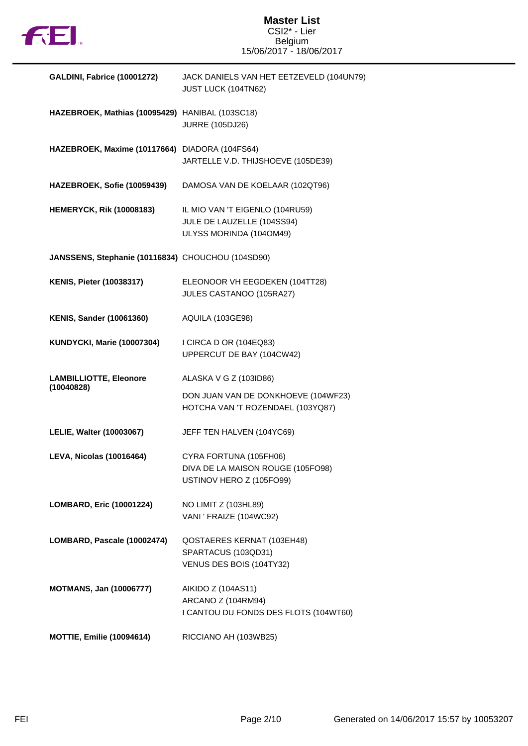

# **Master List** CSI2\* - Lier Belgium 15/06/2017 - 18/06/2017

| GALDINI, Fabrice (10001272)                       | JACK DANIELS VAN HET EETZEVELD (104UN79)<br>JUST LUCK (104TN62)                          |
|---------------------------------------------------|------------------------------------------------------------------------------------------|
| HAZEBROEK, Mathias (10095429) HANIBAL (103SC18)   | <b>JURRE (105DJ26)</b>                                                                   |
| HAZEBROEK, Maxime (10117664) DIADORA (104FS64)    | JARTELLE V.D. THIJSHOEVE (105DE39)                                                       |
| HAZEBROEK, Sofie (10059439)                       | DAMOSA VAN DE KOELAAR (102QT96)                                                          |
| <b>HEMERYCK, Rik (10008183)</b>                   | IL MIO VAN 'T EIGENLO (104RU59)<br>JULE DE LAUZELLE (104SS94)<br>ULYSS MORINDA (104OM49) |
| JANSSENS, Stephanie (10116834) CHOUCHOU (104SD90) |                                                                                          |
| <b>KENIS, Pieter (10038317)</b>                   | ELEONOOR VH EEGDEKEN (104TT28)<br>JULES CASTANOO (105RA27)                               |
| <b>KENIS, Sander (10061360)</b>                   | <b>AQUILA (103GE98)</b>                                                                  |
| <b>KUNDYCKI, Marie (10007304)</b>                 | I CIRCA D OR (104EQ83)<br>UPPERCUT DE BAY (104CW42)                                      |
| <b>LAMBILLIOTTE, Eleonore</b><br>(10040828)       | ALASKA V G Z (103ID86)                                                                   |
|                                                   | DON JUAN VAN DE DONKHOEVE (104WF23)<br>HOTCHA VAN 'T ROZENDAEL (103YQ87)                 |
| LELIE, Walter (10003067)                          | JEFF TEN HALVEN (104YC69)                                                                |
| <b>LEVA, Nicolas (10016464)</b>                   | CYRA FORTUNA (105FH06)<br>DIVA DE LA MAISON ROUGE (105FO98)<br>USTINOV HERO Z (105FO99)  |
| LOMBARD, Eric (10001224)                          | NO LIMIT Z (103HL89)<br>VANI ' FRAIZE (104WC92)                                          |
| LOMBARD, Pascale (10002474)                       | QOSTAERES KERNAT (103EH48)<br>SPARTACUS (103QD31)<br>VENUS DES BOIS (104TY32)            |
| <b>MOTMANS, Jan (10006777)</b>                    | AIKIDO Z (104AS11)<br>ARCANO Z (104RM94)<br>I CANTOU DU FONDS DES FLOTS (104WT60)        |
| <b>MOTTIE, Emilie (10094614)</b>                  | RICCIANO AH (103WB25)                                                                    |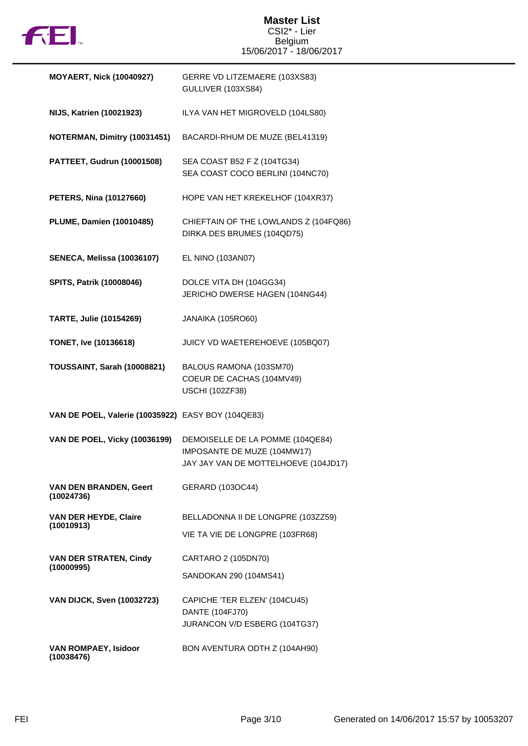

# **Master List** CSI2\* - Lier Belgium 15/06/2017 - 18/06/2017

| <b>MOYAERT, Nick (10040927)</b>                    | GERRE VD LITZEMAERE (103XS83)<br>GULLIVER (103XS84)                                                     |
|----------------------------------------------------|---------------------------------------------------------------------------------------------------------|
| <b>NIJS, Katrien (10021923)</b>                    | ILYA VAN HET MIGROVELD (104LS80)                                                                        |
| NOTERMAN, Dimitry (10031451)                       | BACARDI-RHUM DE MUZE (BEL41319)                                                                         |
| PATTEET, Gudrun (10001508)                         | SEA COAST B52 F Z (104TG34)<br>SEA COAST COCO BERLINI (104NC70)                                         |
| <b>PETERS, Nina (10127660)</b>                     | HOPE VAN HET KREKELHOF (104XR37)                                                                        |
| <b>PLUME, Damien (10010485)</b>                    | CHIEFTAIN OF THE LOWLANDS Z (104FQ86)<br>DIRKA DES BRUMES (104QD75)                                     |
| <b>SENECA, Melissa (10036107)</b>                  | EL NINO (103AN07)                                                                                       |
| SPITS, Patrik (10008046)                           | DOLCE VITA DH (104GG34)<br>JERICHO DWERSE HAGEN (104NG44)                                               |
| <b>TARTE, Julie (10154269)</b>                     | JANAIKA (105RO60)                                                                                       |
| <b>TONET, Ive (10136618)</b>                       | JUICY VD WAETEREHOEVE (105BQ07)                                                                         |
| TOUSSAINT, Sarah (10008821)                        | BALOUS RAMONA (103SM70)<br>COEUR DE CACHAS (104MV49)<br><b>USCHI (102ZF38)</b>                          |
| VAN DE POEL, Valerie (10035922) EASY BOY (104QE83) |                                                                                                         |
| <b>VAN DE POEL, Vicky (10036199)</b>               | DEMOISELLE DE LA POMME (104QE84)<br>IMPOSANTE DE MUZE (104MW17)<br>JAY JAY VAN DE MOTTELHOEVE (104JD17) |
| VAN DEN BRANDEN, Geert<br>(10024736)               | GERARD (103OC44)                                                                                        |
| <b>VAN DER HEYDE, Claire</b><br>(10010913)         | BELLADONNA II DE LONGPRE (103ZZ59)                                                                      |
|                                                    | VIE TA VIE DE LONGPRE (103FR68)                                                                         |
| <b>VAN DER STRATEN, Cindy</b><br>(10000995)        | CARTARO 2 (105DN70)                                                                                     |
|                                                    | SANDOKAN 290 (104MS41)                                                                                  |
| <b>VAN DIJCK, Sven (10032723)</b>                  | CAPICHE 'TER ELZEN' (104CU45)                                                                           |
|                                                    | DANTE (104FJ70)<br>JURANCON V/D ESBERG (104TG37)                                                        |
| VAN ROMPAEY, Isidoor<br>(10038476)                 | BON AVENTURA ODTH Z (104AH90)                                                                           |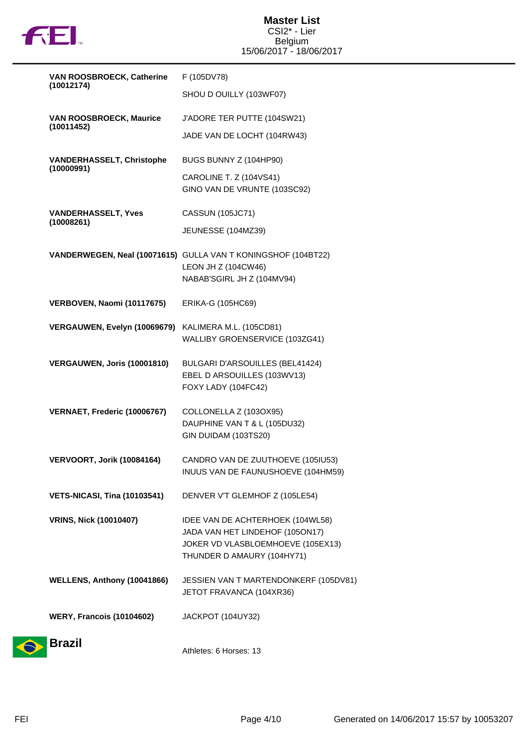

| VAN ROOSBROECK, Catherine                      | F (105DV78)                                                          |
|------------------------------------------------|----------------------------------------------------------------------|
| (10012174)                                     | SHOU D OUILLY (103WF07)                                              |
| <b>VAN ROOSBROECK, Maurice</b><br>(10011452)   | J'ADORE TER PUTTE (104SW21)                                          |
|                                                | JADE VAN DE LOCHT (104RW43)                                          |
| <b>VANDERHASSELT, Christophe</b><br>(10000991) | BUGS BUNNY Z (104HP90)                                               |
|                                                | CAROLINE T. Z (104VS41)<br>GINO VAN DE VRUNTE (103SC92)              |
| <b>VANDERHASSELT, Yves</b><br>(10008261)       | <b>CASSUN (105JC71)</b>                                              |
|                                                | JEUNESSE (104MZ39)                                                   |
|                                                | VANDERWEGEN, Neal (10071615) GULLA VAN T KONINGSHOF (104BT22)        |
|                                                | LEON JH Z (104CW46)<br>NABAB'SGIRL JH Z (104MV94)                    |
| VERBOVEN, Naomi (10117675)                     | ERIKA-G (105HC69)                                                    |
| VERGAUWEN, Evelyn (10069679)                   | KALIMERA M.L. (105CD81)                                              |
|                                                | WALLIBY GROENSERVICE (103ZG41)                                       |
| VERGAUWEN, Joris (10001810)                    | BULGARI D'ARSOUILLES (BEL41424)<br>EBEL D ARSOUILLES (103WV13)       |
|                                                | FOXY LADY (104FC42)                                                  |
| VERNAET, Frederic (10006767)                   | COLLONELLA Z (103OX95)                                               |
|                                                | DAUPHINE VAN T & L (105DU32)<br>GIN DUIDAM (103TS20)                 |
| VERVOORT, Jorik (10084164)                     | CANDRO VAN DE ZUUTHOEVE (105IU53)                                    |
|                                                | INUUS VAN DE FAUNUSHOEVE (104HM59)                                   |
| <b>VETS-NICASI, Tina (10103541)</b>            | DENVER V'T GLEMHOF Z (105LE54)                                       |
| <b>VRINS, Nick (10010407)</b>                  | IDEE VAN DE ACHTERHOEK (104WL58)                                     |
|                                                | JADA VAN HET LINDEHOF (105ON17)<br>JOKER VD VLASBLOEMHOEVE (105EX13) |
|                                                | THUNDER D AMAURY (104HY71)                                           |
| WELLENS, Anthony (10041866)                    | JESSIEN VAN T MARTENDONKERF (105DV81)                                |
|                                                | JETOT FRAVANCA (104XR36)                                             |
| <b>WERY, Francois (10104602)</b>               | JACKPOT (104UY32)                                                    |
| <b>Brazil</b>                                  | Athletes: 6 Horses: 13                                               |
|                                                |                                                                      |

 $\bullet$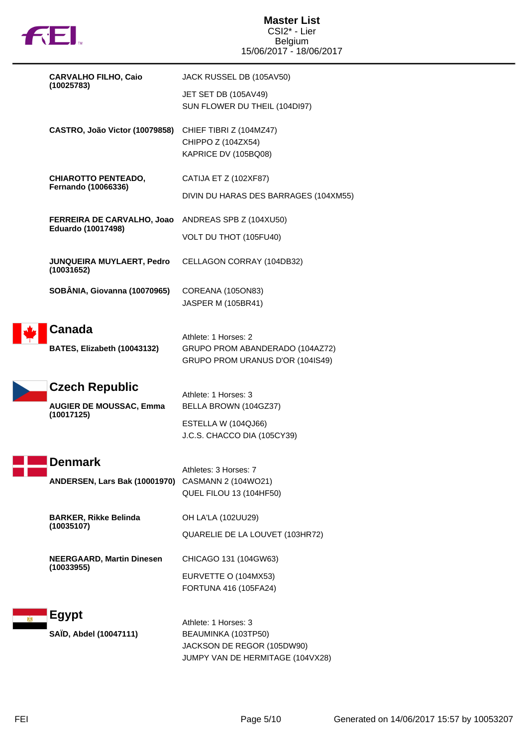

| <b>CARVALHO FILHO, Caio</b><br>(10025783)    | JACK RUSSEL DB (105AV50)                          |                                                                                             |
|----------------------------------------------|---------------------------------------------------|---------------------------------------------------------------------------------------------|
|                                              |                                                   | JET SET DB (105AV49)<br>SUN FLOWER DU THEIL (104DI97)                                       |
|                                              | CASTRO, João Victor (10079858)                    | CHIEF TIBRI Z (104MZ47)<br>CHIPPO Z (104ZX54)<br>KAPRICE DV (105BQ08)                       |
|                                              | <b>CHIAROTTO PENTEADO,</b><br>Fernando (10066336) | CATIJA ET Z (102XF87)                                                                       |
|                                              |                                                   | DIVIN DU HARAS DES BARRAGES (104XM55)                                                       |
|                                              | FERREIRA DE CARVALHO, Joao                        | ANDREAS SPB Z (104XU50)                                                                     |
|                                              | Eduardo (10017498)                                | VOLT DU THOT (105FU40)                                                                      |
|                                              | JUNQUEIRA MUYLAERT, Pedro<br>(10031652)           | CELLAGON CORRAY (104DB32)                                                                   |
|                                              | SOBÂNIA, Giovanna (10070965)                      | COREANA (105ON83)<br><b>JASPER M (105BR41)</b>                                              |
|                                              | <b>Canada</b><br>BATES, Elizabeth (10043132)      | Athlete: 1 Horses: 2<br>GRUPO PROM ABANDERADO (104AZ72)<br>GRUPO PROM URANUS D'OR (104IS49) |
|                                              | <b>Czech Republic</b>                             |                                                                                             |
| <b>AUGIER DE MOUSSAC, Emma</b><br>(10017125) | Athlete: 1 Horses: 3<br>BELLA BROWN (104GZ37)     |                                                                                             |
|                                              |                                                   | ESTELLA W (104QJ66)<br>J.C.S. CHACCO DIA (105CY39)                                          |
|                                              | Denmark                                           |                                                                                             |
|                                              | ANDERSEN, Lars Bak (10001970)                     | Athletes: 3 Horses: 7<br>CASMANN 2 (104WO21)<br>QUEL FILOU 13 (104HF50)                     |
|                                              |                                                   |                                                                                             |
|                                              | <b>BARKER, Rikke Belinda</b>                      | OH LA'LA (102UU29)                                                                          |
|                                              | (10035107)                                        | QUARELIE DE LA LOUVET (103HR72)                                                             |
|                                              | <b>NEERGAARD, Martin Dinesen</b>                  | CHICAGO 131 (104GW63)                                                                       |
|                                              | (10033955)                                        | EURVETTE O (104MX53)<br>FORTUNA 416 (105FA24)                                               |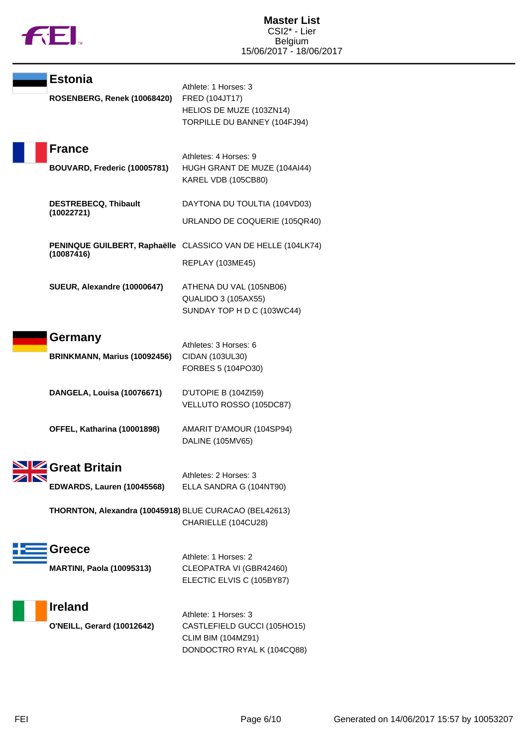

| <b>Estonia</b><br>ROSENBERG, Renek (10068420)          | Athlete: 1 Horses: 3<br>FRED (104JT17)<br>HELIOS DE MUZE (103ZN14)<br>TORPILLE DU BANNEY (104FJ94)                                |
|--------------------------------------------------------|-----------------------------------------------------------------------------------------------------------------------------------|
| <b>France</b><br>BOUVARD, Frederic (10005781)          | Athletes: 4 Horses: 9<br>HUGH GRANT DE MUZE (104AI44)<br>KAREL VDB (105CB80)                                                      |
| <b>DESTREBECQ, Thibault</b><br>(10022721)              | DAYTONA DU TOULTIA (104VD03)<br>URLANDO DE COQUERIE (105QR40)                                                                     |
| (10087416)                                             | PENINQUE GUILBERT, Raphaëlle CLASSICO VAN DE HELLE (104LK74)<br><b>REPLAY (103ME45)</b>                                           |
| SUEUR, Alexandre (10000647)                            | ATHENA DU VAL (105NB06)<br><b>QUALIDO 3 (105AX55)</b><br>SUNDAY TOP H D C (103WC44)                                               |
| Germany<br>BRINKMANN, Marius (10092456)                | Athletes: 3 Horses: 6<br>CIDAN (103UL30)<br>FORBES 5 (104PO30)                                                                    |
| DANGELA, Louisa (10076671)                             | D'UTOPIE B (104ZI59)<br>VELLUTO ROSSO (105DC87)                                                                                   |
| OFFEL, Katharina (10001898)                            | AMARIT D'AMOUR (104SP94)<br>DALINE (105MV65)                                                                                      |
| <b>NIZ</b> Great Britain<br>EDWARDS, Lauren (10045568) | Athletes: 2 Horses: 3<br>ELLA SANDRA G (104NT90)<br>THORNTON, Alexandra (10045918) BLUE CURACAO (BEL42613)<br>CHARIELLE (104CU28) |
| Greece<br><b>MARTINI, Paola (10095313)</b>             | Athlete: 1 Horses: 2<br>CLEOPATRA VI (GBR42460)<br>ELECTIC ELVIS C (105BY87)                                                      |
| <b>Ireland</b><br><b>O'NEILL, Gerard (10012642)</b>    | Athlete: 1 Horses: 3<br>CASTLEFIELD GUCCI (105HO15)<br><b>CLIM BIM (104MZ91)</b><br>DONDOCTRO RYAL K (104CQ88)                    |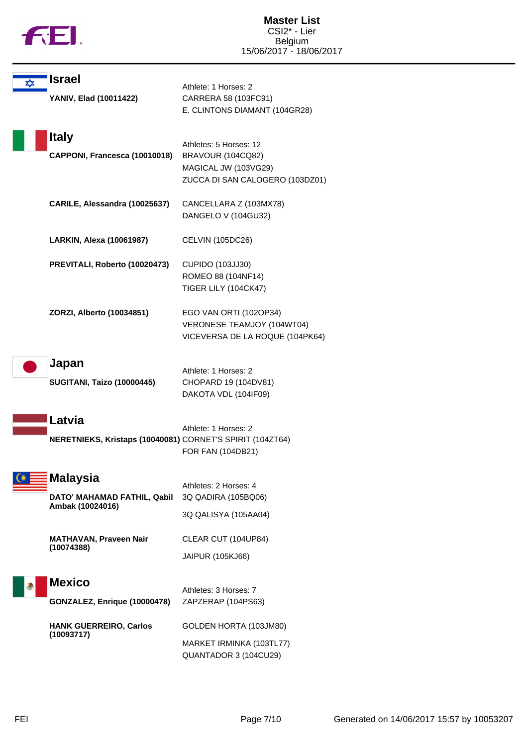

| ✿ | <b>Israel</b>                                                       | Athlete: 1 Horses: 2                                                                                   |
|---|---------------------------------------------------------------------|--------------------------------------------------------------------------------------------------------|
|   | YANIV, Elad (10011422)                                              | CARRERA 58 (103FC91)<br>E. CLINTONS DIAMANT (104GR28)                                                  |
|   | <b>Italy</b><br>CAPPONI, Francesca (10010018)                       | Athletes: 5 Horses: 12<br>BRAVOUR (104CQ82)<br>MAGICAL JW (103VG29)<br>ZUCCA DI SAN CALOGERO (103DZ01) |
|   | CARILE, Alessandra (10025637)                                       | CANCELLARA Z (103MX78)<br>DANGELO V (104GU32)                                                          |
|   | LARKIN, Alexa (10061987)                                            | <b>CELVIN (105DC26)</b>                                                                                |
|   | PREVITALI, Roberto (10020473)                                       | CUPIDO (103JJ30)<br>ROMEO 88 (104NF14)<br>TIGER LILY (104CK47)                                         |
|   | ZORZI, Alberto (10034851)                                           | EGO VAN ORTI (102OP34)<br>VERONESE TEAMJOY (104WT04)<br>VICEVERSA DE LA ROQUE (104PK64)                |
|   | Japan                                                               |                                                                                                        |
|   | <b>SUGITANI, Taizo (10000445)</b>                                   | Athlete: 1 Horses: 2<br>CHOPARD 19 (104DV81)<br>DAKOTA VDL (104IF09)                                   |
|   | Latvia<br>NERETNIEKS, Kristaps (10040081) CORNET'S SPIRIT (104ZT64) | Athlete: 1 Horses: 2<br>FOR FAN (104DB21)                                                              |
|   | <b>Malaysia</b>                                                     | Athletes: 2 Horses: 4                                                                                  |
|   | DATO' MAHAMAD FATHIL, Qabil<br>Ambak (10024016)                     | 3Q QADIRA (105BQ06)<br>3Q QALISYA (105AA04)                                                            |
|   |                                                                     |                                                                                                        |
|   | <b>MATHAVAN, Praveen Nair</b><br>(10074388)                         | CLEAR CUT (104UP84)<br>JAIPUR (105KJ66)                                                                |
|   | <b>Mexico</b><br>GONZALEZ, Enrique (10000478)                       | Athletes: 3 Horses: 7<br>ZAPZERAP (104PS63)                                                            |
|   | <b>HANK GUERREIRO, Carlos</b>                                       | GOLDEN HORTA (103JM80)                                                                                 |
|   | (10093717)                                                          | MARKET IRMINKA (103TL77)<br>QUANTADOR 3 (104CU29)                                                      |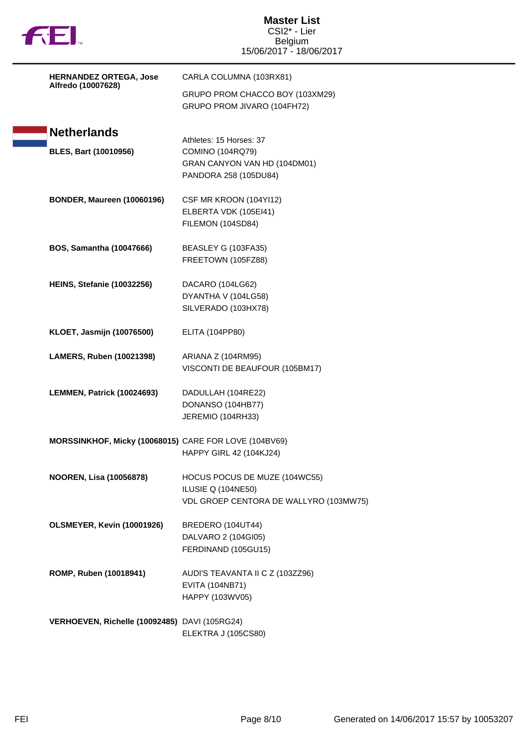| <b>FEI</b>                                            | <b>Master List</b><br>CSI2* - Lier<br>Belgium<br>15/06/2017 - 18/06/2017                                    |
|-------------------------------------------------------|-------------------------------------------------------------------------------------------------------------|
| <b>HERNANDEZ ORTEGA, Jose</b>                         | CARLA COLUMNA (103RX81)                                                                                     |
| Alfredo (10007628)                                    | GRUPO PROM CHACCO BOY (103XM29)<br>GRUPO PROM JIVARO (104FH72)                                              |
| <b>Netherlands</b>                                    |                                                                                                             |
| <b>BLES, Bart (10010956)</b>                          | Athletes: 15 Horses: 37<br><b>COMINO (104RQ79)</b><br>GRAN CANYON VAN HD (104DM01)<br>PANDORA 258 (105DU84) |
| <b>BONDER, Maureen (10060196)</b>                     | CSF MR KROON (104YI12)<br>ELBERTA VDK (105EI41)<br>FILEMON (104SD84)                                        |
| <b>BOS, Samantha (10047666)</b>                       | BEASLEY G (103FA35)<br>FREETOWN (105FZ88)                                                                   |
| <b>HEINS, Stefanie (10032256)</b>                     | DACARO (104LG62)<br>DYANTHA V (104LG58)<br>SILVERADO (103HX78)                                              |
| <b>KLOET, Jasmijn (10076500)</b>                      | ELITA (104PP80)                                                                                             |
| LAMERS, Ruben (10021398)                              | ARIANA Z (104RM95)<br>VISCONTI DE BEAUFOUR (105BM17)                                                        |
| LEMMEN, Patrick (10024693)                            | DADULLAH (104RE22)<br>DONANSO (104HB77)<br>JEREMIO (104RH33)                                                |
| MORSSINKHOF, Micky (10068015) CARE FOR LOVE (104BV69) | HAPPY GIRL 42 (104KJ24)                                                                                     |
| <b>NOOREN, Lisa (10056878)</b>                        | HOCUS POCUS DE MUZE (104WC55)<br>ILUSIE Q (104NE50)<br>VDL GROEP CENTORA DE WALLYRO (103MW75)               |
| OLSMEYER, Kevin (10001926)                            | BREDERO (104UT44)<br>DALVARO 2 (104GI05)<br>FERDINAND (105GU15)                                             |
| ROMP, Ruben (10018941)                                | AUDI'S TEAVANTA II C Z (103ZZ96)<br>EVITA (104NB71)<br>HAPPY (103WV05)                                      |
| VERHOEVEN, Richelle (10092485) DAVI (105RG24)         | ELEKTRA J (105CS80)                                                                                         |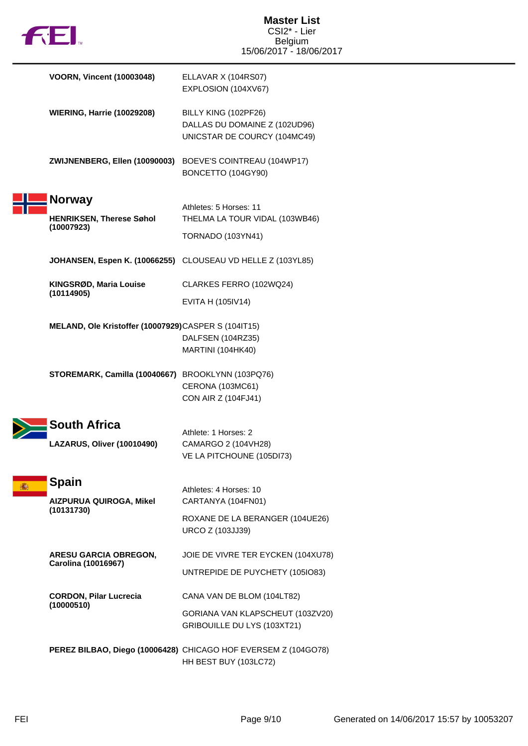

| <b>VOORN, Vincent (10003048)</b>                    | ELLAVAR X (104RS07)<br>EXPLOSION (104XV67)                                              |
|-----------------------------------------------------|-----------------------------------------------------------------------------------------|
| <b>WIERING, Harrie (10029208)</b>                   | BILLY KING (102PF26)<br>DALLAS DU DOMAINE Z (102UD96)<br>UNICSTAR DE COURCY (104MC49)   |
| ZWIJNENBERG, Ellen (10090003)                       | BOEVE'S COINTREAU (104WP17)<br>BONCETTO (104GY90)                                       |
| <b>Norway</b>                                       | Athletes: 5 Horses: 11                                                                  |
| <b>HENRIKSEN, Therese Søhol</b><br>(10007923)       | THELMA LA TOUR VIDAL (103WB46)<br><b>TORNADO (103YN41)</b>                              |
|                                                     | JOHANSEN, Espen K. (10066255) CLOUSEAU VD HELLE Z (103YL85)                             |
| KINGSRØD, Maria Louise<br>(10114905)                | CLARKES FERRO (102WQ24)<br>EVITA H (105IV14)                                            |
| MELAND, Ole Kristoffer (10007929)CASPER S (104IT15) | DALFSEN (104RZ35)<br><b>MARTINI</b> (104HK40)                                           |
| STOREMARK, Camilla (10040667)                       | BROOKLYNN (103PQ76)<br>CERONA (103MC61)<br>CON AIR Z (104FJ41)                          |
| South Africa                                        | Athlete: 1 Horses: 2                                                                    |
| LAZARUS, Oliver (10010490)                          | CAMARGO 2 (104VH28)<br>VE LA PITCHOUNE (105DI73)                                        |
| <b>Spain</b>                                        | Athletes: 4 Horses: 10                                                                  |
| AIZPURUA QUIROGA, Mikel<br>(10131730)               | CARTANYA (104FN01)                                                                      |
|                                                     | ROXANE DE LA BERANGER (104UE26)<br>URCO Z (103JJ39)                                     |
| <b>ARESU GARCIA OBREGON,</b><br>Carolina (10016967) | JOIE DE VIVRE TER EYCKEN (104XU78)                                                      |
|                                                     | UNTREPIDE DE PUYCHETY (105IO83)                                                         |
| <b>CORDON, Pilar Lucrecia</b><br>(10000510)         | CANA VAN DE BLOM (104LT82)                                                              |
|                                                     | GORIANA VAN KLAPSCHEUT (103ZV20)<br>GRIBOUILLE DU LYS (103XT21)                         |
|                                                     | PEREZ BILBAO, Diego (10006428) CHICAGO HOF EVERSEM Z (104GO78)<br>HH BEST BUY (103LC72) |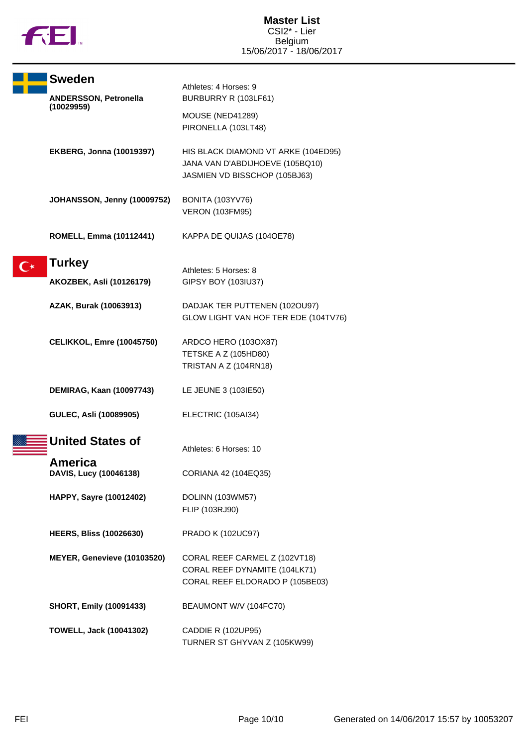

| <b>Sweden</b>                     | Athletes: 4 Horses: 9                                                                                   |
|-----------------------------------|---------------------------------------------------------------------------------------------------------|
| ANDERSSON, Petronella             | BURBURRY R (103LF61)                                                                                    |
| (10029959)                        | MOUSE (NED41289)<br>PIRONELLA (103LT48)                                                                 |
| <b>EKBERG, Jonna (10019397)</b>   | HIS BLACK DIAMOND VT ARKE (104ED95)<br>JANA VAN D'ABDIJHOEVE (105BQ10)<br>JASMIEN VD BISSCHOP (105BJ63) |
| JOHANSSON, Jenny (10009752)       | <b>BONITA (103YV76)</b><br><b>VERON (103FM95)</b>                                                       |
| <b>ROMELL, Emma (10112441)</b>    | KAPPA DE QUIJAS (104OE78)                                                                               |
| <b>Turkey</b>                     | Athletes: 5 Horses: 8                                                                                   |
| AKOZBEK, Asli (10126179)          | GIPSY BOY (103IU37)                                                                                     |
| AZAK, Burak (10063913)            | DADJAK TER PUTTENEN (102OU97)<br>GLOW LIGHT VAN HOF TER EDE (104TV76)                                   |
| <b>CELIKKOL, Emre (10045750)</b>  | ARDCO HERO (1030X87)<br>TETSKE A Z (105HD80)<br>TRISTAN A Z (104RN18)                                   |
| DEMIRAG, Kaan (10097743)          | LE JEUNE 3 (103IE50)                                                                                    |
| GULEC, Asli (10089905)            | ELECTRIC (105AI34)                                                                                      |
| <b>United States of</b>           | Athletes: 6 Horses: 10                                                                                  |
| America<br>DAVIS, Lucy (10046138) | CORIANA 42 (104EQ35)                                                                                    |
| HAPPY, Sayre (10012402)           | DOLINN (103WM57)<br>FLIP (103RJ90)                                                                      |
| <b>HEERS, Bliss (10026630)</b>    | <b>PRADO K (102UC97)</b>                                                                                |
| MEYER, Genevieve (10103520)       | CORAL REEF CARMEL Z (102VT18)<br>CORAL REEF DYNAMITE (104LK71)<br>CORAL REEF ELDORADO P (105BE03)       |
| <b>SHORT, Emily (10091433)</b>    | BEAUMONT W/V (104FC70)                                                                                  |
| <b>TOWELL, Jack (10041302)</b>    | CADDIE R (102UP95)<br>TURNER ST GHYVAN Z (105KW99)                                                      |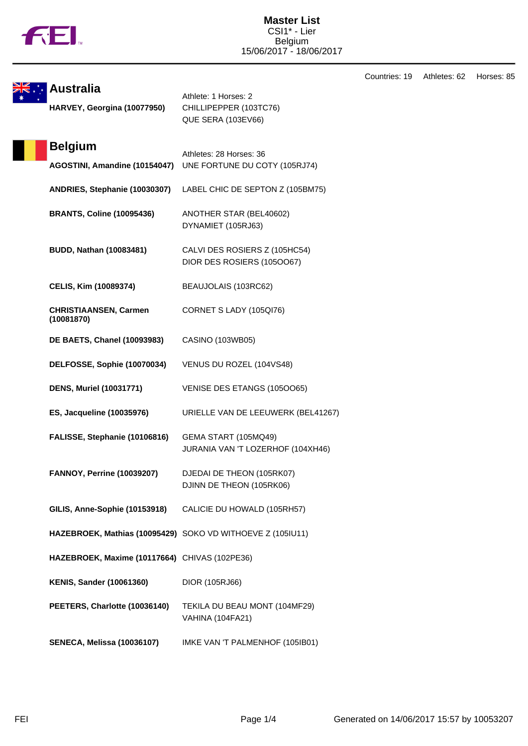

Countries: 19 Athletes: 62 Horses: 85

| <b>ki</b> Australia                                        | Athlete: 1 Horses: 2                                        |
|------------------------------------------------------------|-------------------------------------------------------------|
| HARVEY, Georgina (10077950)                                | CHILLIPEPPER (103TC76)<br><b>QUE SERA (103EV66)</b>         |
| <b>Belgium</b>                                             | Athletes: 28 Horses: 36                                     |
| AGOSTINI, Amandine (10154047)                              | UNE FORTUNE DU COTY (105RJ74)                               |
| ANDRIES, Stephanie (10030307)                              | LABEL CHIC DE SEPTON Z (105BM75)                            |
| <b>BRANTS, Coline (10095436)</b>                           | ANOTHER STAR (BEL40602)<br>DYNAMIET (105RJ63)               |
| <b>BUDD, Nathan (10083481)</b>                             | CALVI DES ROSIERS Z (105HC54)<br>DIOR DES ROSIERS (1050067) |
| CELIS, Kim (10089374)                                      | BEAUJOLAIS (103RC62)                                        |
| <b>CHRISTIAANSEN, Carmen</b><br>(10081870)                 | CORNET S LADY (105QI76)                                     |
| <b>DE BAETS, Chanel (10093983)</b>                         | CASINO (103WB05)                                            |
| DELFOSSE, Sophie (10070034)                                | VENUS DU ROZEL (104VS48)                                    |
| <b>DENS, Muriel (10031771)</b>                             | VENISE DES ETANGS (1050065)                                 |
| ES, Jacqueline (10035976)                                  | URIELLE VAN DE LEEUWERK (BEL41267)                          |
| FALISSE, Stephanie (10106816)                              | GEMA START (105MQ49)<br>JURANIA VAN 'T LOZERHOF (104XH46)   |
| <b>FANNOY, Perrine (10039207)</b>                          | DJEDAI DE THEON (105RK07)<br>DJINN DE THEON (105RK06)       |
| GILIS, Anne-Sophie (10153918)                              | CALICIE DU HOWALD (105RH57)                                 |
| HAZEBROEK, Mathias (10095429) SOKO VD WITHOEVE Z (105IU11) |                                                             |
| HAZEBROEK, Maxime (10117664) CHIVAS (102PE36)              |                                                             |
| <b>KENIS, Sander (10061360)</b>                            | DIOR (105RJ66)                                              |
| PEETERS, Charlotte (10036140)                              | TEKILA DU BEAU MONT (104MF29)<br><b>VAHINA (104FA21)</b>    |
| <b>SENECA, Melissa (10036107)</b>                          | IMKE VAN 'T PALMENHOF (105IB01)                             |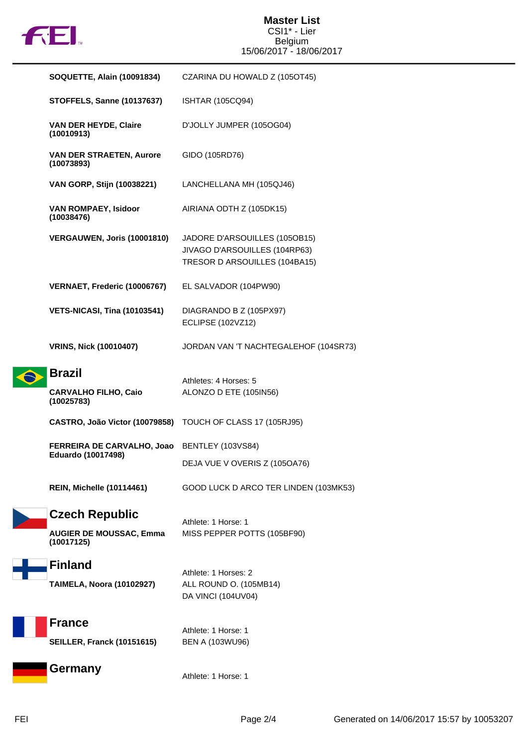

### **Master List** CSI1\* - Lier Belgium 15/06/2017 - 18/06/2017

|  | <b>SOQUETTE, Alain (10091834)</b>                          | CZARINA DU HOWALD Z (1050T45)                                                                   |
|--|------------------------------------------------------------|-------------------------------------------------------------------------------------------------|
|  | <b>STOFFELS, Sanne (10137637)</b>                          | <b>ISHTAR (105CQ94)</b>                                                                         |
|  | VAN DER HEYDE, Claire<br>(10010913)                        | D'JOLLY JUMPER (105OG04)                                                                        |
|  | <b>VAN DER STRAETEN, Aurore</b><br>(10073893)              | GIDO (105RD76)                                                                                  |
|  | VAN GORP, Stijn (10038221)                                 | LANCHELLANA MH (105QJ46)                                                                        |
|  | VAN ROMPAEY, Isidoor<br>(10038476)                         | AIRIANA ODTH Z (105DK15)                                                                        |
|  | VERGAUWEN, Joris (10001810)                                | JADORE D'ARSOUILLES (105OB15)<br>JIVAGO D'ARSOUILLES (104RP63)<br>TRESOR D ARSOUILLES (104BA15) |
|  | VERNAET, Frederic (10006767)                               | EL SALVADOR (104PW90)                                                                           |
|  | <b>VETS-NICASI, Tina (10103541)</b>                        | DIAGRANDO B Z (105PX97)<br><b>ECLIPSE (102VZ12)</b>                                             |
|  | <b>VRINS, Nick (10010407)</b>                              | JORDAN VAN 'T NACHTEGALEHOF (104SR73)                                                           |
|  | <b>Brazil</b>                                              | Athletes: 4 Horses: 5                                                                           |
|  | <b>CARVALHO FILHO, Caio</b><br>(10025783)                  | ALONZO D ETE (105IN56)                                                                          |
|  | CASTRO, João Victor (10079858) TOUCH OF CLASS 17 (105RJ95) |                                                                                                 |
|  | FERREIRA DE CARVALHO, Joao<br>Eduardo (10017498)           | BENTLEY (103VS84)                                                                               |
|  |                                                            | DEJA VUE V OVERIS Z (105OA76)                                                                   |
|  | <b>REIN, Michelle (10114461)</b>                           | GOOD LUCK D ARCO TER LINDEN (103MK53)                                                           |
|  | <b>Czech Republic</b>                                      | Athlete: 1 Horse: 1                                                                             |
|  | <b>AUGIER DE MOUSSAC, Emma</b><br>(10017125)               | MISS PEPPER POTTS (105BF90)                                                                     |
|  | <b>Finland</b><br><b>TAIMELA, Noora (10102927)</b>         | Athlete: 1 Horses: 2<br>ALL ROUND O. (105MB14)<br>DA VINCI (104UV04)                            |
|  | <b>France</b><br><b>SEILLER, Franck (10151615)</b>         | Athlete: 1 Horse: 1<br><b>BEN A (103WU96)</b>                                                   |
|  | <b>Germany</b>                                             | Athlete: 1 Horse: 1                                                                             |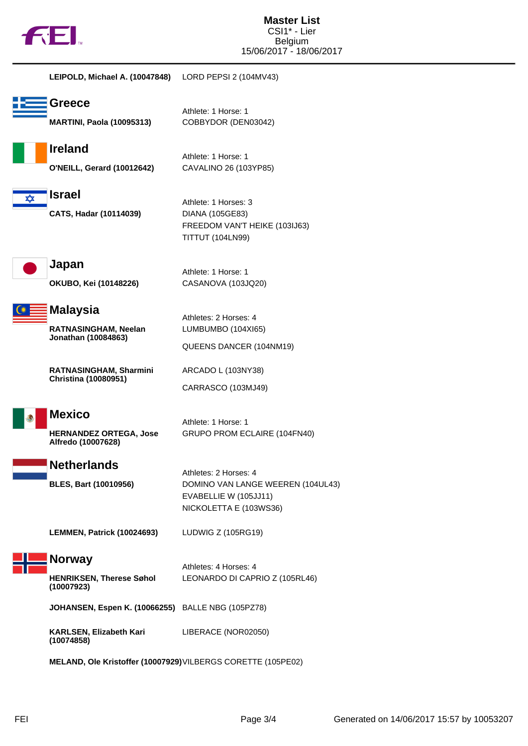

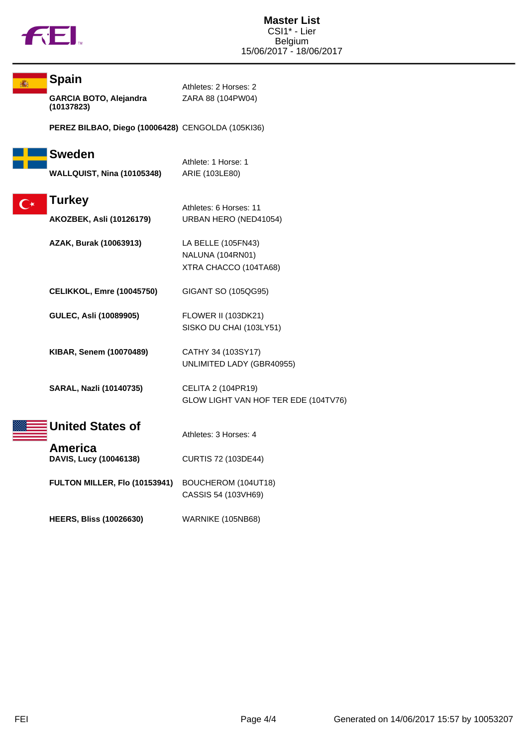

|                    | <b>Spain</b>                                      | Athletes: 2 Horses: 2                                           |
|--------------------|---------------------------------------------------|-----------------------------------------------------------------|
|                    | GARCIA BOTO, Alejandra<br>(10137823)              | ZARA 88 (104PW04)                                               |
|                    | PEREZ BILBAO, Diego (10006428) CENGOLDA (105KI36) |                                                                 |
|                    | <b>Sweden</b>                                     | Athlete: 1 Horse: 1                                             |
|                    | <b>WALLQUIST, Nina (10105348)</b>                 | ARIE (103LE80)                                                  |
| $\mathsf{C}^\star$ | <b>Turkey</b><br><b>AKOZBEK, Asli (10126179)</b>  | Athletes: 6 Horses: 11<br>URBAN HERO (NED41054)                 |
|                    | AZAK, Burak (10063913)                            | LA BELLE (105FN43)<br>NALUNA (104RN01)<br>XTRA CHACCO (104TA68) |
|                    | <b>CELIKKOL, Emre (10045750)</b>                  | GIGANT SO (105QG95)                                             |
|                    | GULEC, Asli (10089905)                            | FLOWER II (103DK21)<br>SISKO DU CHAI (103LY51)                  |
|                    | <b>KIBAR, Senem (10070489)</b>                    | CATHY 34 (103SY17)<br>UNLIMITED LADY (GBR40955)                 |
|                    | SARAL, Nazli (10140735)                           | CELITA 2 (104PR19)<br>GLOW LIGHT VAN HOF TER EDE (104TV76)      |
|                    | <b>United States of</b>                           | Athletes: 3 Horses: 4                                           |
|                    | America<br>DAVIS, Lucy (10046138)                 | CURTIS 72 (103DE44)                                             |
|                    | FULTON MILLER, Flo (10153941)                     | BOUCHEROM (104UT18)<br>CASSIS 54 (103VH69)                      |
|                    | <b>HEERS, Bliss (10026630)</b>                    | WARNIKE (105NB68)                                               |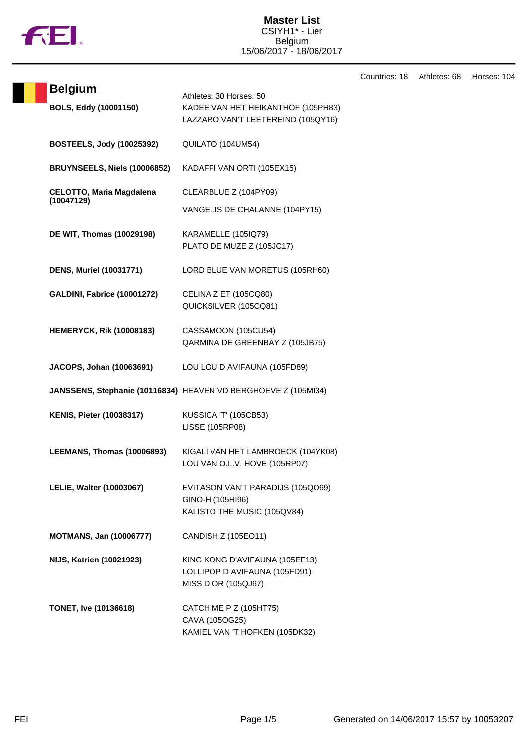

### **Master List** CSIYH1\* - Lier Belgium 15/06/2017 - 18/06/2017

|                                               |                                                                                                     | Countries: 18 | Athletes: 68 | Horses: 104 |
|-----------------------------------------------|-----------------------------------------------------------------------------------------------------|---------------|--------------|-------------|
| <b>Belgium</b><br>BOLS, Eddy (10001150)       | Athletes: 30 Horses: 50<br>KADEE VAN HET HEIKANTHOF (105PH83)<br>LAZZARO VAN'T LEETEREIND (105QY16) |               |              |             |
| <b>BOSTEELS, Jody (10025392)</b>              | QUILATO (104UM54)                                                                                   |               |              |             |
| BRUYNSEELS, Niels (10006852)                  | KADAFFI VAN ORTI (105EX15)                                                                          |               |              |             |
| <b>CELOTTO, Maria Magdalena</b><br>(10047129) | CLEARBLUE Z (104PY09)                                                                               |               |              |             |
|                                               | VANGELIS DE CHALANNE (104PY15)                                                                      |               |              |             |
| DE WIT, Thomas (10029198)                     | KARAMELLE (105IQ79)<br>PLATO DE MUZE Z (105JC17)                                                    |               |              |             |
| <b>DENS, Muriel (10031771)</b>                | LORD BLUE VAN MORETUS (105RH60)                                                                     |               |              |             |
| <b>GALDINI, Fabrice (10001272)</b>            | CELINA Z ET (105CQ80)<br>QUICKSILVER (105CQ81)                                                      |               |              |             |
| <b>HEMERYCK, Rik (10008183)</b>               | CASSAMOON (105CU54)<br>QARMINA DE GREENBAY Z (105JB75)                                              |               |              |             |
| JACOPS, Johan (10063691)                      | LOU LOU D AVIFAUNA (105FD89)                                                                        |               |              |             |
|                                               | JANSSENS, Stephanie (10116834) HEAVEN VD BERGHOEVE Z (105MI34)                                      |               |              |             |
| <b>KENIS, Pieter (10038317)</b>               | KUSSICA 'T' (105CB53)<br><b>LISSE (105RP08)</b>                                                     |               |              |             |
| LEEMANS, Thomas (10006893)                    | KIGALI VAN HET LAMBROECK (104YK08)<br>LOU VAN O.L.V. HOVE (105RP07)                                 |               |              |             |
| <b>LELIE, Walter (10003067)</b>               | EVITASON VAN'T PARADIJS (105QO69)<br>GINO-H (105HI96)<br>KALISTO THE MUSIC (105QV84)                |               |              |             |
| <b>MOTMANS, Jan (10006777)</b>                | CANDISH Z (105EO11)                                                                                 |               |              |             |
| <b>NIJS, Katrien (10021923)</b>               | KING KONG D'AVIFAUNA (105EF13)<br>LOLLIPOP D AVIFAUNA (105FD91)<br><b>MISS DIOR (105QJ67)</b>       |               |              |             |
| <b>TONET, Ive (10136618)</b>                  | CATCH ME P Z (105HT75)<br>CAVA (105OG25)<br>KAMIEL VAN 'T HOFKEN (105DK32)                          |               |              |             |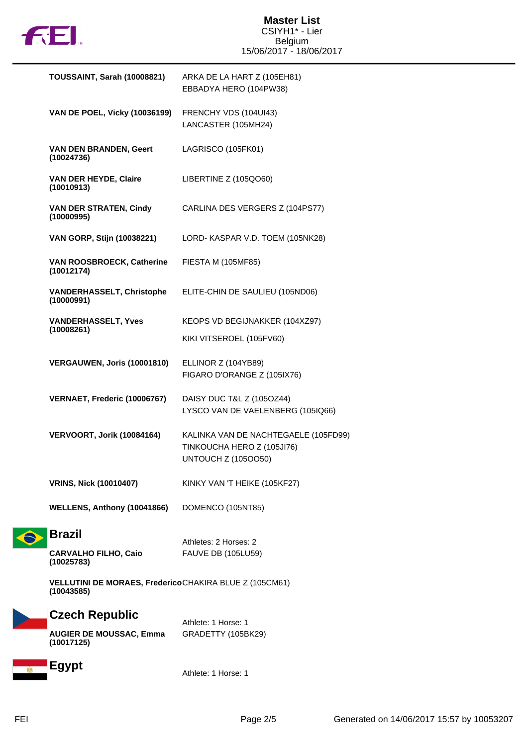

| TOUSSAINT, Sarah (10008821)                                          | ARKA DE LA HART Z (105EH81)<br>EBBADYA HERO (104PW38)                                            |
|----------------------------------------------------------------------|--------------------------------------------------------------------------------------------------|
| <b>VAN DE POEL, Vicky (10036199)</b>                                 | FRENCHY VDS (104UI43)<br>LANCASTER (105MH24)                                                     |
| <b>VAN DEN BRANDEN, Geert</b><br>(10024736)                          | LAGRISCO (105FK01)                                                                               |
| VAN DER HEYDE, Claire<br>(10010913)                                  | LIBERTINE Z (105QO60)                                                                            |
| <b>VAN DER STRATEN, Cindy</b><br>(10000995)                          | CARLINA DES VERGERS Z (104PS77)                                                                  |
| VAN GORP, Stijn (10038221)                                           | LORD-KASPAR V.D. TOEM (105NK28)                                                                  |
| <b>VAN ROOSBROECK, Catherine</b><br>(10012174)                       | FIESTA M (105MF85)                                                                               |
| <b>VANDERHASSELT, Christophe</b><br>(10000991)                       | ELITE-CHIN DE SAULIEU (105ND06)                                                                  |
| <b>VANDERHASSELT, Yves</b>                                           | KEOPS VD BEGIJNAKKER (104XZ97)                                                                   |
| (10008261)                                                           | KIKI VITSEROEL (105FV60)                                                                         |
| <b>VERGAUWEN, Joris (10001810)</b>                                   | ELLINOR Z (104YB89)<br>FIGARO D'ORANGE Z (105IX76)                                               |
| VERNAET, Frederic (10006767)                                         | DAISY DUC T&L Z (105OZ44)<br>LYSCO VAN DE VAELENBERG (105IQ66)                                   |
| VERVOORT, Jorik (10084164)                                           | KALINKA VAN DE NACHTEGAELE (105FD99)<br>TINKOUCHA HERO Z (105JI76)<br><b>UNTOUCH Z (1050050)</b> |
| <b>VRINS, Nick (10010407)</b>                                        | KINKY VAN 'T HEIKE (105KF27)                                                                     |
| WELLENS, Anthony (10041866)                                          | DOMENCO (105NT85)                                                                                |
| <b>Brazil</b>                                                        | Athletes: 2 Horses: 2                                                                            |
| <b>CARVALHO FILHO, Caio</b><br>(10025783)                            | <b>FAUVE DB (105LU59)</b>                                                                        |
| VELLUTINI DE MORAES, FredericoCHAKIRA BLUE Z (105CM61)<br>(10043585) |                                                                                                  |
| <b>Czech Republic</b>                                                |                                                                                                  |
| <b>AUGIER DE MOUSSAC, Emma</b><br>(10017125)                         | Athlete: 1 Horse: 1<br>GRADETTY (105BK29)                                                        |
|                                                                      |                                                                                                  |

**Egypt** 

Athlete: 1 Horse: 1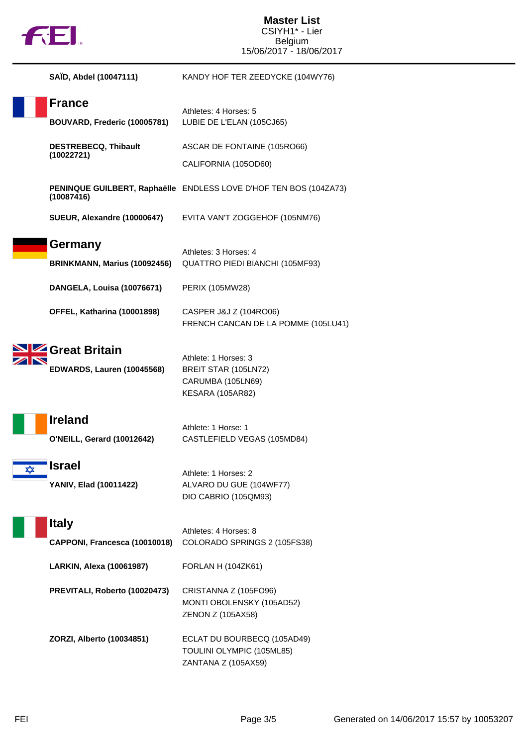

### **Master List** CSIYH1\* - Lier Belgium 15/06/2017 - 18/06/2017

|   | SAÏD, Abdel (10047111)                                      | KANDY HOF TER ZEEDYCKE (104WY76)                                                      |
|---|-------------------------------------------------------------|---------------------------------------------------------------------------------------|
|   | <b>France</b><br>BOUVARD, Frederic (10005781)               | Athletes: 4 Horses: 5<br>LUBIE DE L'ELAN (105CJ65)                                    |
|   | <b>DESTREBECQ, Thibault</b><br>(10022721)                   | ASCAR DE FONTAINE (105RO66)<br>CALIFORNIA (105OD60)                                   |
|   | (10087416)                                                  | PENINQUE GUILBERT, Raphaëlle ENDLESS LOVE D'HOF TEN BOS (104ZA73)                     |
|   | SUEUR, Alexandre (10000647)                                 | EVITA VAN'T ZOGGEHOF (105NM76)                                                        |
|   | Germany<br>BRINKMANN, Marius (10092456)                     | Athletes: 3 Horses: 4<br>QUATTRO PIEDI BIANCHI (105MF93)                              |
|   | DANGELA, Louisa (10076671)                                  | PERIX (105MW28)                                                                       |
|   | OFFEL, Katharina (10001898)                                 | CASPER J&J Z (104RO06)<br>FRENCH CANCAN DE LA POMME (105LU41)                         |
|   | <b>4 Great Britain</b><br><b>EDWARDS, Lauren (10045568)</b> | Athlete: 1 Horses: 3<br>BREIT STAR (105LN72)<br>CARUMBA (105LN69)<br>KESARA (105AR82) |
|   | <b>Ireland</b><br><b>O'NEILL, Gerard (10012642)</b>         | Athlete: 1 Horse: 1<br>CASTLEFIELD VEGAS (105MD84)                                    |
| ★ | Israel<br><b>YANIV, Elad (10011422)</b>                     | Athlete: 1 Horses: 2<br>ALVARO DU GUE (104WF77)<br>DIO CABRIO (105QM93)               |
|   | <b>Italy</b><br>CAPPONI, Francesca (10010018)               | Athletes: 4 Horses: 8<br>COLORADO SPRINGS 2 (105FS38)                                 |
|   | <b>LARKIN, Alexa (10061987)</b>                             | <b>FORLAN H (104ZK61)</b>                                                             |
|   | PREVITALI, Roberto (10020473)                               | CRISTANNA Z (105FO96)<br>MONTI OBOLENSKY (105AD52)<br>ZENON Z (105AX58)               |
|   | ZORZI, Alberto (10034851)                                   | ECLAT DU BOURBECQ (105AD49)<br>TOULINI OLYMPIC (105ML85)<br>ZANTANA Z (105AX59)       |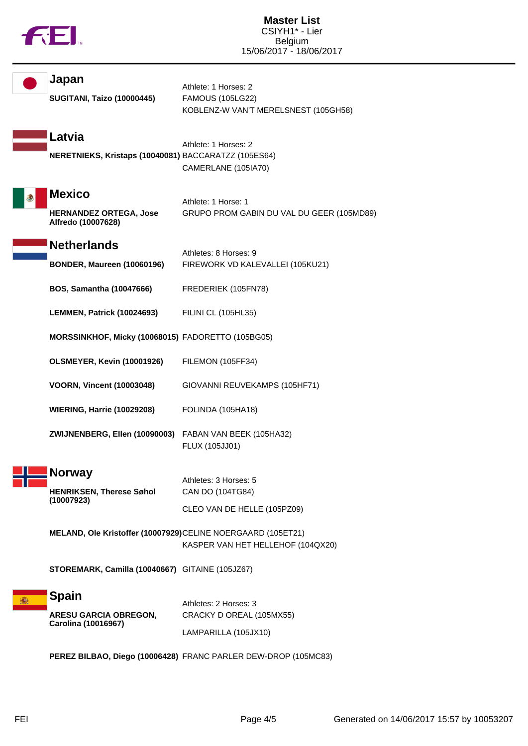|  |  | M |
|--|--|---|
|  |  |   |

| Japan<br><b>SUGITANI, Taizo (10000445)</b>                           | Athlete: 1 Horses: 2<br><b>FAMOUS (105LG22)</b><br>KOBLENZ-W VAN'T MERELSNEST (105GH58) |
|----------------------------------------------------------------------|-----------------------------------------------------------------------------------------|
| Latvia<br>NERETNIEKS, Kristaps (10040081) BACCARATZZ (105ES64)       | Athlete: 1 Horses: 2<br>CAMERLANE (105IA70)                                             |
| <b>Mexico</b><br><b>HERNANDEZ ORTEGA, Jose</b><br>Alfredo (10007628) | Athlete: 1 Horse: 1<br>GRUPO PROM GABIN DU VAL DU GEER (105MD89)                        |
| <b>Netherlands</b><br><b>BONDER, Maureen (10060196)</b>              | Athletes: 8 Horses: 9<br>FIREWORK VD KALEVALLEI (105KU21)                               |
| <b>BOS, Samantha (10047666)</b>                                      | FREDERIEK (105FN78)                                                                     |
| LEMMEN, Patrick (10024693)                                           | FILINI CL (105HL35)                                                                     |
| MORSSINKHOF, Micky (10068015) FADORETTO (105BG05)                    |                                                                                         |
| OLSMEYER, Kevin (10001926)                                           | FILEMON (105FF34)                                                                       |
| <b>VOORN, Vincent (10003048)</b>                                     | GIOVANNI REUVEKAMPS (105HF71)                                                           |
| <b>WIERING, Harrie (10029208)</b>                                    | FOLINDA (105HA18)                                                                       |
| ZWIJNENBERG, Ellen (10090003) FABAN VAN BEEK (105HA32)               | FLUX (105JJ01)                                                                          |
| <b>Norway</b><br><b>HENRIKSEN, Therese Søhol</b><br>(10007923)       | Athletes: 3 Horses: 5<br>CAN DO (104TG84)<br>CLEO VAN DE HELLE (105PZ09)                |
| MELAND, Ole Kristoffer (10007929)CELINE NOERGAARD (105ET21)          | KASPER VAN HET HELLEHOF (104QX20)                                                       |
| STOREMARK, Camilla (10040667) GITAINE (105JZ67)                      |                                                                                         |
| <b>Spain</b><br><b>ARESU GARCIA OBREGON,</b><br>Carolina (10016967)  | Athletes: 2 Horses: 3<br>CRACKY D OREAL (105MX55)<br>LAMPARILLA (105JX10)               |
|                                                                      | PEREZ BILBAO, Diego (10006428) FRANC PARLER DEW-DROP (105MC83)                          |